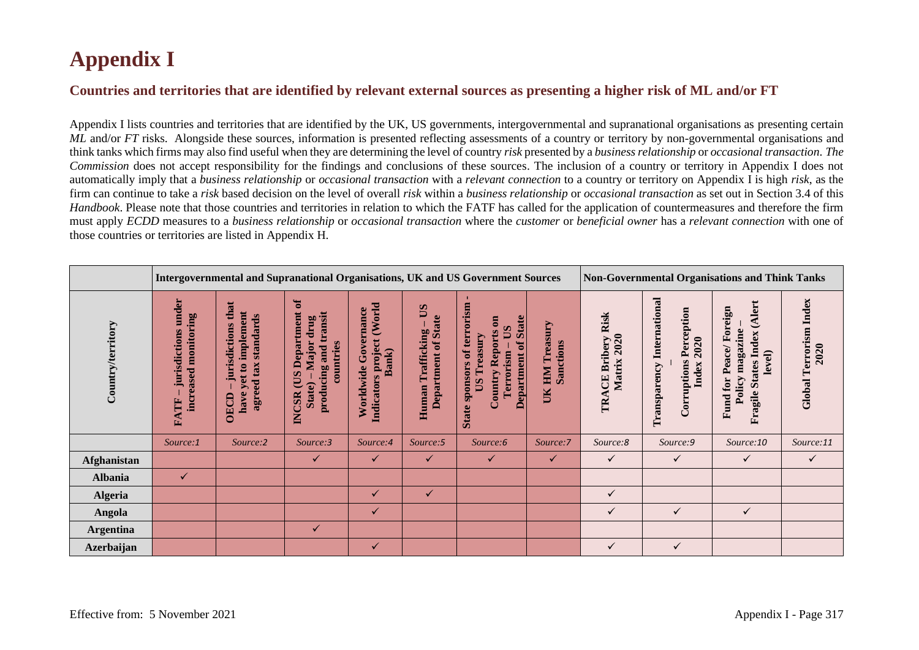## **Appendix I**

## **Countries and territories that are identified by relevant external sources as presenting a higher risk of ML and/or FT**

Appendix I lists countries and territories that are identified by the UK, US governments, intergovernmental and supranational organisations as presenting certain *ML* and/or *FT* risks. Alongside these sources, information is presented reflecting assessments of a country or territory by non-governmental organisations and think tanks which firms may also find useful when they are determining the level of country *risk* presented by a *business relationship* or *occasional transaction*. *The Commission* does not accept responsibility for the findings and conclusions of these sources. The inclusion of a country or territory in Appendix I does not automatically imply that a *business relationship* or *occasional transaction* with a *relevant connection* to a country or territory on Appendix I is high *risk*, as the firm can continue to take a *risk* based decision on the level of overall *risk* within a *business relationship* or *occasional transaction* as set out in Section 3.4 of this *Handbook*. Please note that those countries and territories in relation to which the FATF has called for the application of countermeasures and therefore the firm must apply *ECDD* measures to a *business relationship* or *occasional transaction* where the *customer* or *beneficial owner* has a *relevant connection* with one of those countries or territories are listed in Appendix H.

|                   |                                                           | Intergovernmental and Supranational Organisations, UK and US Government Sources                      |                                                                                                                |                                                               |                                                   |                                                                                                                                                               |                                           |                                              | <b>Non-Governmental Organisations and Think Tanks</b>                               |                                                                                                    |                                          |  |
|-------------------|-----------------------------------------------------------|------------------------------------------------------------------------------------------------------|----------------------------------------------------------------------------------------------------------------|---------------------------------------------------------------|---------------------------------------------------|---------------------------------------------------------------------------------------------------------------------------------------------------------------|-------------------------------------------|----------------------------------------------|-------------------------------------------------------------------------------------|----------------------------------------------------------------------------------------------------|------------------------------------------|--|
| Country/territory | under<br>monitoring<br>jurisdictions<br>increased<br>FATF | that<br>implement<br>standards<br>jurisdictions<br>agreed tax<br>$\mathbf{a}$<br>yet<br>have<br>OECD | $\sigma$<br>Department<br>producing and transit<br>drug<br>Major<br>countries<br>CUS<br>State)<br><b>INCSR</b> | (World<br>Worldwide Governance<br>Indicators project<br>Bank) | SQ<br>Department of State<br>Trafficking<br>Human | State sponsors of terrorism<br><b>Department of State</b><br>$\overline{\mathbf{e}}$<br>$\mathbf{S}$<br><b>Country Reports</b><br>Treasury<br>Terrorism<br>SQ | Treasury<br>Sanctions<br><b>NHI</b><br>UК | <b>CE Bribery Risk</b><br>Matrix 2020<br>TRA | <b>Transparency International</b><br><b>Corruptions Perception</b><br>2020<br>Index | (Alert<br>Fund for Peace/Foreign<br>magazine<br><b>States Index</b><br>level)<br>Policy<br>Fragile | <b>Terrorism</b> Index<br>2020<br>Global |  |
|                   | Source:1                                                  | Source:2                                                                                             | Source:3                                                                                                       | Source:4                                                      | Source:5                                          | Source:6                                                                                                                                                      | Source:7                                  | Source:8                                     | Source:9                                                                            | Source:10                                                                                          | Source:11                                |  |
| Afghanistan       |                                                           |                                                                                                      | $\checkmark$                                                                                                   | $\checkmark$                                                  | $\checkmark$                                      | $\checkmark$                                                                                                                                                  | $\checkmark$                              | $\checkmark$                                 | ✓                                                                                   | $\checkmark$                                                                                       | $\checkmark$                             |  |
| <b>Albania</b>    | ✓                                                         |                                                                                                      |                                                                                                                |                                                               |                                                   |                                                                                                                                                               |                                           |                                              |                                                                                     |                                                                                                    |                                          |  |
| <b>Algeria</b>    |                                                           |                                                                                                      |                                                                                                                | ✓                                                             | $\checkmark$                                      |                                                                                                                                                               |                                           | ✓                                            |                                                                                     |                                                                                                    |                                          |  |
| Angola            |                                                           |                                                                                                      |                                                                                                                | $\checkmark$                                                  |                                                   |                                                                                                                                                               |                                           | ✓                                            | ✓                                                                                   | $\checkmark$                                                                                       |                                          |  |
| <b>Argentina</b>  |                                                           |                                                                                                      | ✓                                                                                                              |                                                               |                                                   |                                                                                                                                                               |                                           |                                              |                                                                                     |                                                                                                    |                                          |  |
| <b>Azerbaijan</b> |                                                           |                                                                                                      |                                                                                                                | $\checkmark$                                                  |                                                   |                                                                                                                                                               |                                           | ✓                                            | ✓                                                                                   |                                                                                                    |                                          |  |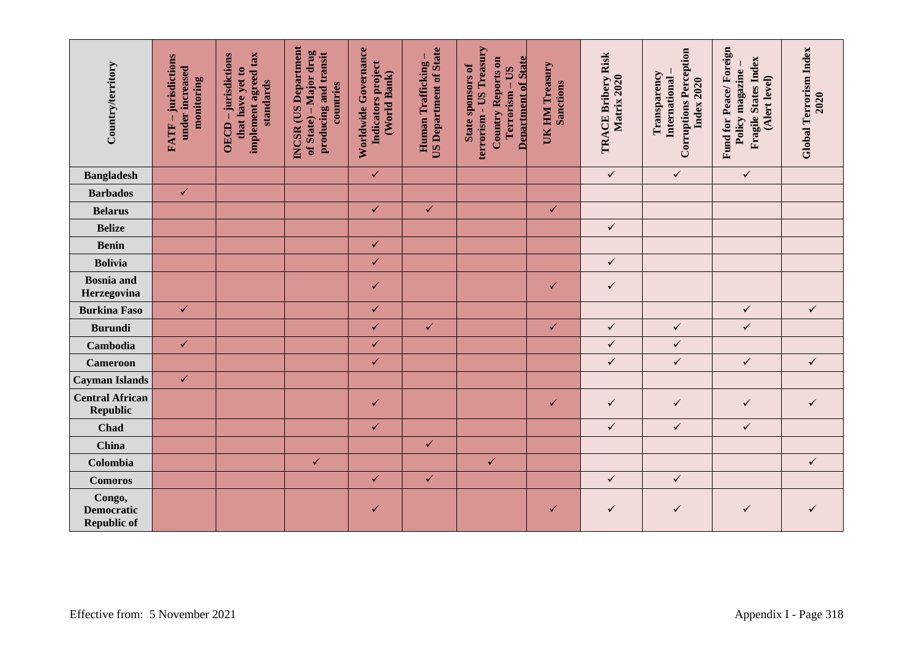| Country/territory                                 | -jurisdictions<br>under increased<br>monitoring<br>FATF- | implement agreed tax<br>OECD - jurisdictions<br>that have yet to<br>standards | INCSR (US Department<br>of State) – Major drug<br>producing and transit<br>countries | Worldwide Governance<br>Indicators project<br>(World Bank) | <b>US Department of State</b><br>Human Trafficking- | terrorism - US Treasury<br><b>Department of State</b><br>Country Reports on<br>State sponsors of<br>Terrorism - US | UK HM Treasury<br><b>Sanctions</b> | TRACE Bribery Risk<br>Matrix 2020 | <b>Corruptions Perception</b><br>Transparency<br>International<br><b>Index 2020</b> | Fund for Peace/Foreign<br>Fragile States Index<br>Policy magazine-<br>(Alert level) | <b>Global Terrorism Index</b><br>2020 |
|---------------------------------------------------|----------------------------------------------------------|-------------------------------------------------------------------------------|--------------------------------------------------------------------------------------|------------------------------------------------------------|-----------------------------------------------------|--------------------------------------------------------------------------------------------------------------------|------------------------------------|-----------------------------------|-------------------------------------------------------------------------------------|-------------------------------------------------------------------------------------|---------------------------------------|
| <b>Bangladesh</b>                                 |                                                          |                                                                               |                                                                                      | $\checkmark$                                               |                                                     |                                                                                                                    |                                    | $\checkmark$                      | $\checkmark$                                                                        | $\checkmark$                                                                        |                                       |
| <b>Barbados</b>                                   | $\checkmark$                                             |                                                                               |                                                                                      |                                                            |                                                     |                                                                                                                    |                                    |                                   |                                                                                     |                                                                                     |                                       |
| <b>Belarus</b>                                    |                                                          |                                                                               |                                                                                      | $\checkmark$                                               | $\checkmark$                                        |                                                                                                                    | $\checkmark$                       |                                   |                                                                                     |                                                                                     |                                       |
| <b>Belize</b>                                     |                                                          |                                                                               |                                                                                      |                                                            |                                                     |                                                                                                                    |                                    | $\checkmark$                      |                                                                                     |                                                                                     |                                       |
| <b>Benin</b>                                      |                                                          |                                                                               |                                                                                      | $\checkmark$                                               |                                                     |                                                                                                                    |                                    |                                   |                                                                                     |                                                                                     |                                       |
| <b>Bolivia</b>                                    |                                                          |                                                                               |                                                                                      | $\checkmark$                                               |                                                     |                                                                                                                    |                                    | $\checkmark$                      |                                                                                     |                                                                                     |                                       |
| <b>Bosnia</b> and<br>Herzegovina                  |                                                          |                                                                               |                                                                                      | $\checkmark$                                               |                                                     |                                                                                                                    | ✓                                  | $\checkmark$                      |                                                                                     |                                                                                     |                                       |
| <b>Burkina Faso</b>                               | $\checkmark$                                             |                                                                               |                                                                                      | $\checkmark$                                               |                                                     |                                                                                                                    |                                    |                                   |                                                                                     | $\checkmark$                                                                        | $\checkmark$                          |
| <b>Burundi</b>                                    |                                                          |                                                                               |                                                                                      | $\checkmark$                                               | $\checkmark$                                        |                                                                                                                    | $\checkmark$                       | $\checkmark$                      | $\checkmark$                                                                        | $\checkmark$                                                                        |                                       |
| Cambodia                                          | $\checkmark$                                             |                                                                               |                                                                                      | $\checkmark$                                               |                                                     |                                                                                                                    |                                    | $\checkmark$                      | $\checkmark$                                                                        |                                                                                     |                                       |
| <b>Cameroon</b>                                   |                                                          |                                                                               |                                                                                      | $\checkmark$                                               |                                                     |                                                                                                                    |                                    | $\checkmark$                      | $\checkmark$                                                                        | $\checkmark$                                                                        | $\checkmark$                          |
| <b>Cayman Islands</b>                             | $\checkmark$                                             |                                                                               |                                                                                      |                                                            |                                                     |                                                                                                                    |                                    |                                   |                                                                                     |                                                                                     |                                       |
| <b>Central African</b><br><b>Republic</b>         |                                                          |                                                                               |                                                                                      | $\checkmark$                                               |                                                     |                                                                                                                    | $\checkmark$                       | $\checkmark$                      | $\checkmark$                                                                        | $\checkmark$                                                                        | $\checkmark$                          |
| Chad                                              |                                                          |                                                                               |                                                                                      | $\checkmark$                                               |                                                     |                                                                                                                    |                                    | $\checkmark$                      | $\checkmark$                                                                        | $\checkmark$                                                                        |                                       |
| China                                             |                                                          |                                                                               |                                                                                      |                                                            | $\checkmark$                                        |                                                                                                                    |                                    |                                   |                                                                                     |                                                                                     |                                       |
| Colombia                                          |                                                          |                                                                               | $\checkmark$                                                                         |                                                            |                                                     | $\checkmark$                                                                                                       |                                    |                                   |                                                                                     |                                                                                     | $\checkmark$                          |
| <b>Comoros</b>                                    |                                                          |                                                                               |                                                                                      | $\checkmark$                                               | $\checkmark$                                        |                                                                                                                    |                                    | $\checkmark$                      | $\checkmark$                                                                        |                                                                                     |                                       |
| Congo,<br><b>Democratic</b><br><b>Republic of</b> |                                                          |                                                                               |                                                                                      | $\checkmark$                                               |                                                     |                                                                                                                    | ✓                                  | $\checkmark$                      | $\checkmark$                                                                        | $\checkmark$                                                                        | ✓                                     |
|                                                   | Effective from: 5 November 2021<br>Appendix I - Page 318 |                                                                               |                                                                                      |                                                            |                                                     |                                                                                                                    |                                    |                                   |                                                                                     |                                                                                     |                                       |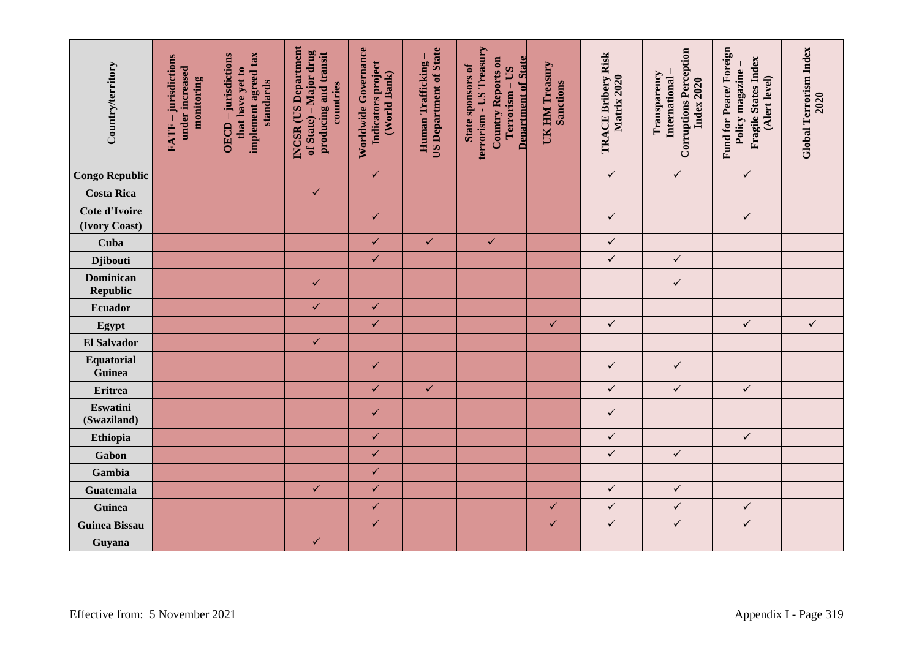| Country/territory               | -jurisdictions<br>under increased<br>monitoring<br>FATF- | implement agreed tax<br>OECD - jurisdictions<br>that have yet to<br>standards | <b>INCSR</b> (US Department<br>of State) – Major drug<br>producing and transit<br>countries | Worldwide Governance<br>Indicators project<br>(World Bank) | <b>US Department of State</b><br>Human Trafficking | terrorism - US Treasury<br><b>Department of State</b><br><b>Country Reports on</b><br><b>State sponsors of</b><br>Terrorism - US | UK HM Treasury<br><b>Sanctions</b> | TRACE Bribery Risk<br>Matrix 2020 | <b>Corruptions Perception</b><br>Transparency<br>International<br><b>Index 2020</b> | Fund for Peace/Foreign<br>Fragile States Index<br>Policy magazine<br>(Alert level) | <b>Global Terrorism Index</b><br>2020 |
|---------------------------------|----------------------------------------------------------|-------------------------------------------------------------------------------|---------------------------------------------------------------------------------------------|------------------------------------------------------------|----------------------------------------------------|----------------------------------------------------------------------------------------------------------------------------------|------------------------------------|-----------------------------------|-------------------------------------------------------------------------------------|------------------------------------------------------------------------------------|---------------------------------------|
| <b>Congo Republic</b>           |                                                          |                                                                               |                                                                                             | $\checkmark$                                               |                                                    |                                                                                                                                  |                                    | $\checkmark$                      | $\checkmark$                                                                        | $\checkmark$                                                                       |                                       |
| <b>Costa Rica</b>               |                                                          |                                                                               | $\checkmark$                                                                                |                                                            |                                                    |                                                                                                                                  |                                    |                                   |                                                                                     |                                                                                    |                                       |
| Cote d'Ivoire<br>(Ivory Coast)  |                                                          |                                                                               |                                                                                             | ✓                                                          |                                                    |                                                                                                                                  |                                    | $\checkmark$                      |                                                                                     | $\checkmark$                                                                       |                                       |
| Cuba                            |                                                          |                                                                               |                                                                                             | $\checkmark$                                               | $\checkmark$                                       | $\checkmark$                                                                                                                     |                                    | $\checkmark$                      |                                                                                     |                                                                                    |                                       |
| <b>Djibouti</b>                 |                                                          |                                                                               |                                                                                             | $\checkmark$                                               |                                                    |                                                                                                                                  |                                    | $\checkmark$                      | $\checkmark$                                                                        |                                                                                    |                                       |
| <b>Dominican</b><br>Republic    |                                                          |                                                                               | ✓                                                                                           |                                                            |                                                    |                                                                                                                                  |                                    |                                   | $\checkmark$                                                                        |                                                                                    |                                       |
| Ecuador                         |                                                          |                                                                               | $\checkmark$                                                                                | $\checkmark$                                               |                                                    |                                                                                                                                  |                                    |                                   |                                                                                     |                                                                                    |                                       |
| Egypt                           |                                                          |                                                                               |                                                                                             | $\checkmark$                                               |                                                    |                                                                                                                                  | $\checkmark$                       | $\checkmark$                      |                                                                                     | $\checkmark$                                                                       | $\checkmark$                          |
| <b>El Salvador</b>              |                                                          |                                                                               | $\checkmark$                                                                                |                                                            |                                                    |                                                                                                                                  |                                    |                                   |                                                                                     |                                                                                    |                                       |
| Equatorial<br>Guinea            |                                                          |                                                                               |                                                                                             | $\checkmark$                                               |                                                    |                                                                                                                                  |                                    | $\checkmark$                      | $\checkmark$                                                                        |                                                                                    |                                       |
| <b>Eritrea</b>                  |                                                          |                                                                               |                                                                                             | $\checkmark$                                               | $\checkmark$                                       |                                                                                                                                  |                                    | $\checkmark$                      | $\checkmark$                                                                        | $\checkmark$                                                                       |                                       |
| Eswatini<br>(Swaziland)         |                                                          |                                                                               |                                                                                             | ✓                                                          |                                                    |                                                                                                                                  |                                    | $\checkmark$                      |                                                                                     |                                                                                    |                                       |
| Ethiopia                        |                                                          |                                                                               |                                                                                             | $\checkmark$                                               |                                                    |                                                                                                                                  |                                    | $\checkmark$                      |                                                                                     | $\checkmark$                                                                       |                                       |
| Gabon                           |                                                          |                                                                               |                                                                                             | $\checkmark$                                               |                                                    |                                                                                                                                  |                                    | $\checkmark$                      | $\checkmark$                                                                        |                                                                                    |                                       |
| Gambia                          |                                                          |                                                                               |                                                                                             | $\checkmark$                                               |                                                    |                                                                                                                                  |                                    |                                   |                                                                                     |                                                                                    |                                       |
| <b>Guatemala</b>                |                                                          |                                                                               | $\checkmark$                                                                                | $\checkmark$                                               |                                                    |                                                                                                                                  |                                    | $\checkmark$                      | $\checkmark$                                                                        |                                                                                    |                                       |
| Guinea                          |                                                          |                                                                               |                                                                                             | $\checkmark$                                               |                                                    |                                                                                                                                  | $\checkmark$                       | $\checkmark$                      | $\checkmark$                                                                        | $\checkmark$                                                                       |                                       |
| <b>Guinea Bissau</b>            |                                                          |                                                                               |                                                                                             | $\checkmark$                                               |                                                    |                                                                                                                                  | $\checkmark$                       | $\checkmark$                      | $\checkmark$                                                                        | $\checkmark$                                                                       |                                       |
| Guyana                          |                                                          |                                                                               | $\checkmark$                                                                                |                                                            |                                                    |                                                                                                                                  |                                    |                                   |                                                                                     |                                                                                    |                                       |
| Effective from: 5 November 2021 |                                                          |                                                                               |                                                                                             |                                                            |                                                    |                                                                                                                                  |                                    |                                   |                                                                                     |                                                                                    | Appendix I - Page 319                 |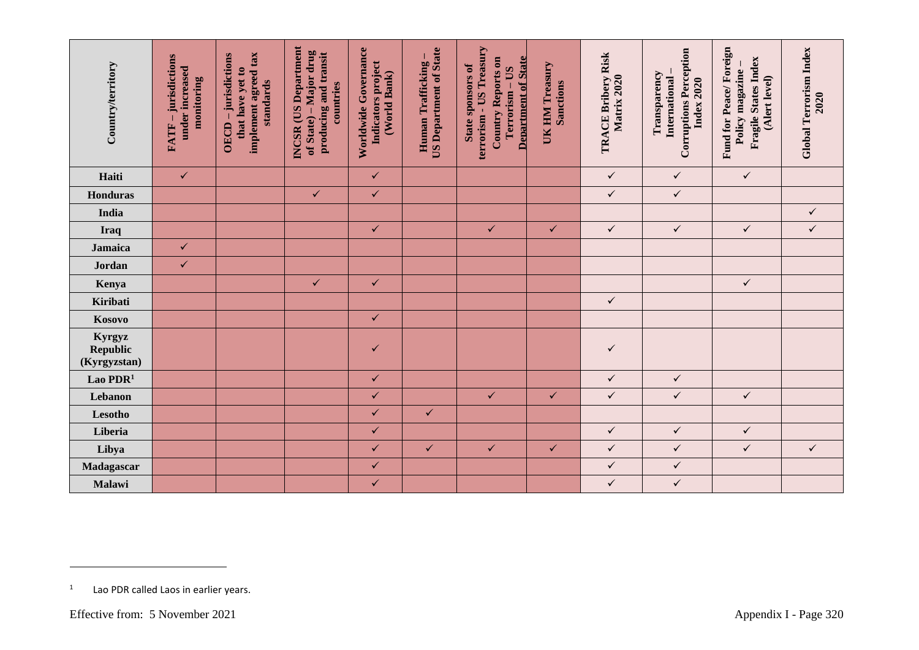| Country/territory                          | FATF - jurisdictions<br>under increased<br>monitoring | implement agreed tax<br>OECD - jurisdictions<br>that have yet to<br>standards | <b>INCSR</b> (US Department<br>of State) – Major drug<br>producing and transit<br>countries | Worldwide Governance<br>Indicators project<br>(World Bank) | <b>US Department of State</b><br>Human Trafficking | terrorism - US Treasury<br><b>Department of State</b><br>Country Reports on<br>State sponsors of<br>Terrorism - US | UK HM Treasury<br><b>Sanctions</b> | TRACE Bribery Risk<br>Matrix 2020 | <b>Corruptions Perception</b><br>Transparency<br>International<br><b>Index 2020</b> | Fund for Peace/Foreign<br>Fragile States Index<br>Policy magazine<br>(Alert level) | <b>Global Terrorism Index</b><br>2020 |
|--------------------------------------------|-------------------------------------------------------|-------------------------------------------------------------------------------|---------------------------------------------------------------------------------------------|------------------------------------------------------------|----------------------------------------------------|--------------------------------------------------------------------------------------------------------------------|------------------------------------|-----------------------------------|-------------------------------------------------------------------------------------|------------------------------------------------------------------------------------|---------------------------------------|
| Haiti                                      | $\checkmark$                                          |                                                                               |                                                                                             | $\checkmark$                                               |                                                    |                                                                                                                    |                                    | $\checkmark$                      | $\checkmark$                                                                        | $\checkmark$                                                                       |                                       |
| Honduras                                   |                                                       |                                                                               | $\checkmark$                                                                                | $\checkmark$                                               |                                                    |                                                                                                                    |                                    | $\checkmark$                      | $\checkmark$                                                                        |                                                                                    |                                       |
| India                                      |                                                       |                                                                               |                                                                                             |                                                            |                                                    |                                                                                                                    |                                    |                                   |                                                                                     |                                                                                    | $\checkmark$                          |
| Iraq                                       |                                                       |                                                                               |                                                                                             | $\checkmark$                                               |                                                    | $\checkmark$                                                                                                       | $\checkmark$                       | $\checkmark$                      | $\checkmark$                                                                        | $\checkmark$                                                                       | $\checkmark$                          |
| Jamaica                                    | $\checkmark$                                          |                                                                               |                                                                                             |                                                            |                                                    |                                                                                                                    |                                    |                                   |                                                                                     |                                                                                    |                                       |
| Jordan                                     | $\checkmark$                                          |                                                                               |                                                                                             |                                                            |                                                    |                                                                                                                    |                                    |                                   |                                                                                     |                                                                                    |                                       |
| Kenya                                      |                                                       |                                                                               | $\checkmark$                                                                                | $\checkmark$                                               |                                                    |                                                                                                                    |                                    |                                   |                                                                                     | $\checkmark$                                                                       |                                       |
| Kiribati                                   |                                                       |                                                                               |                                                                                             |                                                            |                                                    |                                                                                                                    |                                    | $\checkmark$                      |                                                                                     |                                                                                    |                                       |
| Kosovo                                     |                                                       |                                                                               |                                                                                             | $\checkmark$                                               |                                                    |                                                                                                                    |                                    |                                   |                                                                                     |                                                                                    |                                       |
| Kyrgyz<br><b>Republic</b><br>(Kyrgyzstan)  |                                                       |                                                                               |                                                                                             | ✓                                                          |                                                    |                                                                                                                    |                                    | $\checkmark$                      |                                                                                     |                                                                                    |                                       |
| Lao PDR <sup>1</sup>                       |                                                       |                                                                               |                                                                                             | $\checkmark$                                               |                                                    |                                                                                                                    |                                    | $\checkmark$                      | $\checkmark$                                                                        |                                                                                    |                                       |
| Lebanon                                    |                                                       |                                                                               |                                                                                             | $\checkmark$                                               |                                                    | $\checkmark$                                                                                                       | $\checkmark$                       | $\checkmark$                      | $\checkmark$                                                                        | $\checkmark$                                                                       |                                       |
| Lesotho                                    |                                                       |                                                                               |                                                                                             | $\checkmark$                                               | $\checkmark$                                       |                                                                                                                    |                                    |                                   |                                                                                     |                                                                                    |                                       |
| Liberia                                    |                                                       |                                                                               |                                                                                             | $\checkmark$                                               |                                                    |                                                                                                                    |                                    | $\checkmark$                      | $\checkmark$                                                                        | $\checkmark$                                                                       |                                       |
| Libya                                      |                                                       |                                                                               |                                                                                             | $\checkmark$                                               | $\checkmark$                                       | $\checkmark$                                                                                                       | $\checkmark$                       | $\checkmark$                      | $\checkmark$                                                                        | $\checkmark$                                                                       | $\checkmark$                          |
| Madagascar                                 |                                                       |                                                                               |                                                                                             | $\checkmark$                                               |                                                    |                                                                                                                    |                                    | $\checkmark$                      | $\checkmark$                                                                        |                                                                                    |                                       |
| Malawi                                     |                                                       |                                                                               |                                                                                             | $\checkmark$                                               |                                                    |                                                                                                                    |                                    | $\checkmark$                      | $\checkmark$                                                                        |                                                                                    |                                       |
| 1<br>Lao PDR called Laos in earlier years. |                                                       |                                                                               |                                                                                             |                                                            |                                                    |                                                                                                                    |                                    |                                   |                                                                                     |                                                                                    |                                       |

<sup>1</sup> Lao PDR called Laos in earlier years.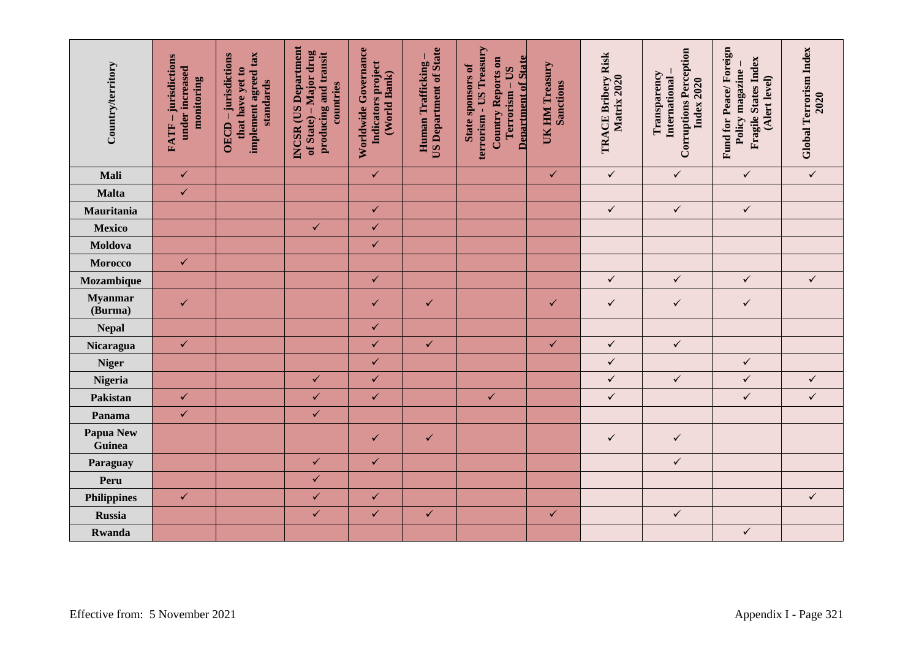| Country/territory          | -jurisdictions<br>under increased<br>monitoring<br>FATF- | implement agreed tax<br>OECD-jurisdictions<br>that have yet to<br>standards | <b>INCSR</b> (US Department<br>of State) – Major drug<br>producing and transit<br>countries | Worldwide Governance<br>Indicators project<br>(World Bank) | <b>US Department of State</b><br>Human Trafficking | terrorism - US Treasury<br><b>Department of State</b><br><b>Country Reports on</b><br><b>State sponsors of</b><br>Terrorism - US | UK HM Treasury<br><b>Sanctions</b> | TRACE Bribery Risk<br>Matrix 2020 | <b>Corruptions Perception</b><br>Transparency<br>International<br><b>Index 2020</b> | Fund for Peace/Foreign<br>Fragile States Index<br>Policy magazine -<br>(Alert level) | Global Terrorism Index<br>2020 |  |
|----------------------------|----------------------------------------------------------|-----------------------------------------------------------------------------|---------------------------------------------------------------------------------------------|------------------------------------------------------------|----------------------------------------------------|----------------------------------------------------------------------------------------------------------------------------------|------------------------------------|-----------------------------------|-------------------------------------------------------------------------------------|--------------------------------------------------------------------------------------|--------------------------------|--|
| Mali                       | $\checkmark$                                             |                                                                             |                                                                                             | $\checkmark$                                               |                                                    |                                                                                                                                  | $\checkmark$                       | $\checkmark$                      | $\checkmark$                                                                        | $\checkmark$                                                                         | $\checkmark$                   |  |
| Malta                      | $\checkmark$                                             |                                                                             |                                                                                             |                                                            |                                                    |                                                                                                                                  |                                    |                                   |                                                                                     |                                                                                      |                                |  |
| Mauritania                 |                                                          |                                                                             |                                                                                             | $\checkmark$                                               |                                                    |                                                                                                                                  |                                    | $\checkmark$                      | $\checkmark$                                                                        | $\checkmark$                                                                         |                                |  |
| <b>Mexico</b>              |                                                          |                                                                             | $\checkmark$                                                                                | $\checkmark$                                               |                                                    |                                                                                                                                  |                                    |                                   |                                                                                     |                                                                                      |                                |  |
| Moldova                    |                                                          |                                                                             |                                                                                             | $\checkmark$                                               |                                                    |                                                                                                                                  |                                    |                                   |                                                                                     |                                                                                      |                                |  |
| Morocco                    | $\checkmark$                                             |                                                                             |                                                                                             |                                                            |                                                    |                                                                                                                                  |                                    |                                   |                                                                                     |                                                                                      |                                |  |
| Mozambique                 |                                                          |                                                                             |                                                                                             | $\checkmark$                                               |                                                    |                                                                                                                                  |                                    | $\checkmark$                      | $\checkmark$                                                                        | $\checkmark$                                                                         | $\checkmark$                   |  |
| <b>Myanmar</b><br>(Burma)  | $\checkmark$                                             |                                                                             |                                                                                             | ✓                                                          | $\checkmark$                                       |                                                                                                                                  | $\checkmark$                       | $\checkmark$                      | $\checkmark$                                                                        | $\checkmark$                                                                         |                                |  |
| <b>Nepal</b>               |                                                          |                                                                             |                                                                                             | $\checkmark$                                               |                                                    |                                                                                                                                  |                                    |                                   |                                                                                     |                                                                                      |                                |  |
| Nicaragua                  | $\checkmark$                                             |                                                                             |                                                                                             | $\checkmark$                                               | $\checkmark$                                       |                                                                                                                                  | $\checkmark$                       | $\checkmark$                      | $\checkmark$                                                                        |                                                                                      |                                |  |
| <b>Niger</b>               |                                                          |                                                                             |                                                                                             | $\checkmark$                                               |                                                    |                                                                                                                                  |                                    | $\checkmark$                      |                                                                                     | $\checkmark$                                                                         |                                |  |
| Nigeria                    |                                                          |                                                                             | $\checkmark$                                                                                | $\checkmark$                                               |                                                    |                                                                                                                                  |                                    | $\checkmark$                      | $\checkmark$                                                                        | $\checkmark$                                                                         | $\checkmark$                   |  |
| Pakistan                   | $\checkmark$                                             |                                                                             | $\checkmark$                                                                                | $\checkmark$                                               |                                                    | $\checkmark$                                                                                                                     |                                    | $\checkmark$                      |                                                                                     | $\checkmark$                                                                         | $\checkmark$                   |  |
| Panama                     | $\checkmark$                                             |                                                                             | $\checkmark$                                                                                |                                                            |                                                    |                                                                                                                                  |                                    |                                   |                                                                                     |                                                                                      |                                |  |
| <b>Papua New</b><br>Guinea |                                                          |                                                                             |                                                                                             | $\checkmark$                                               | $\checkmark$                                       |                                                                                                                                  |                                    | $\checkmark$                      | $\checkmark$                                                                        |                                                                                      |                                |  |
| Paraguay                   |                                                          |                                                                             | $\checkmark$                                                                                | $\checkmark$                                               |                                                    |                                                                                                                                  |                                    |                                   | $\checkmark$                                                                        |                                                                                      |                                |  |
| Peru                       |                                                          |                                                                             | $\checkmark$                                                                                |                                                            |                                                    |                                                                                                                                  |                                    |                                   |                                                                                     |                                                                                      |                                |  |
| <b>Philippines</b>         | $\checkmark$                                             |                                                                             | $\checkmark$                                                                                | $\checkmark$                                               |                                                    |                                                                                                                                  |                                    |                                   |                                                                                     |                                                                                      | $\checkmark$                   |  |
| <b>Russia</b>              |                                                          |                                                                             | $\checkmark$                                                                                | $\checkmark$                                               | $\checkmark$                                       |                                                                                                                                  | $\checkmark$                       |                                   | $\checkmark$                                                                        |                                                                                      |                                |  |
| Rwanda                     |                                                          |                                                                             |                                                                                             |                                                            |                                                    |                                                                                                                                  |                                    |                                   |                                                                                     | $\checkmark$                                                                         |                                |  |
|                            | Effective from: 5 November 2021<br>Appendix I - Page 321 |                                                                             |                                                                                             |                                                            |                                                    |                                                                                                                                  |                                    |                                   |                                                                                     |                                                                                      |                                |  |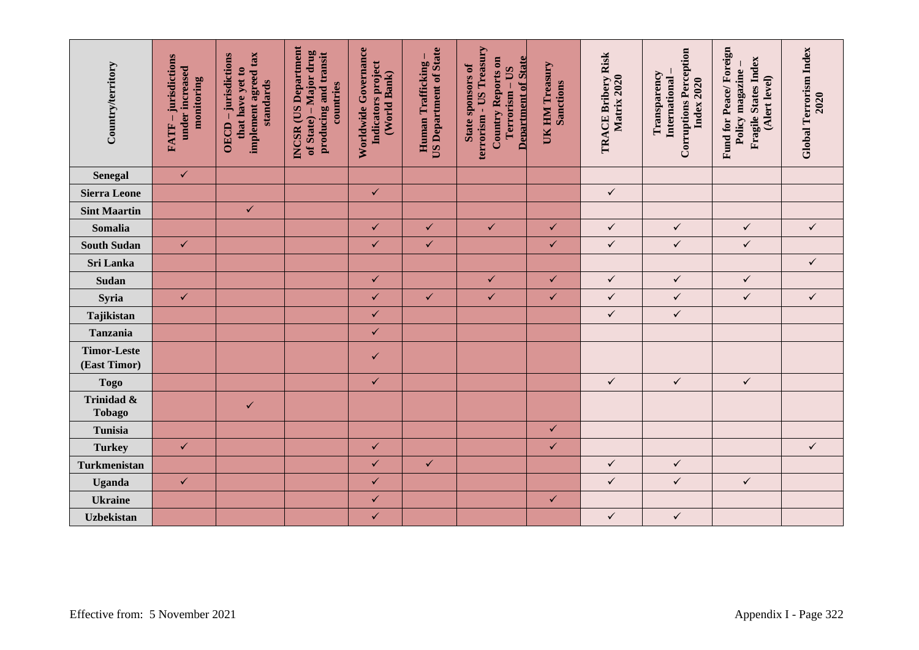| Country/territory                                        | -jurisdictions<br>under increased<br>monitoring<br><b>FATF</b> | implement agreed tax<br>OECD - jurisdictions<br>that have yet to<br>standards | <b>INCSR</b> (US Department<br>of State) – Major drug<br>producing and transit<br>countries | Worldwide Governance<br>Indicators project<br>(World Bank) | <b>US Department of State</b><br>Human Trafficking | terrorism - US Treasury<br><b>Department of State</b><br>Country Reports on<br>State sponsors of<br>Terrorism - US | UK HM Treasury<br><b>Sanctions</b> | TRACE Bribery Risk<br>Matrix 2020 | <b>Corruptions Perception</b><br>Transparency<br>International<br>Index 2020 | Fund for Peace/Foreign<br>Fragile States Index<br>Policy magazine<br>(Alert level) | <b>Global Terrorism Index</b><br>2020 |
|----------------------------------------------------------|----------------------------------------------------------------|-------------------------------------------------------------------------------|---------------------------------------------------------------------------------------------|------------------------------------------------------------|----------------------------------------------------|--------------------------------------------------------------------------------------------------------------------|------------------------------------|-----------------------------------|------------------------------------------------------------------------------|------------------------------------------------------------------------------------|---------------------------------------|
| <b>Senegal</b>                                           | $\checkmark$                                                   |                                                                               |                                                                                             |                                                            |                                                    |                                                                                                                    |                                    |                                   |                                                                              |                                                                                    |                                       |
| <b>Sierra Leone</b>                                      |                                                                |                                                                               |                                                                                             | $\checkmark$                                               |                                                    |                                                                                                                    |                                    | $\checkmark$                      |                                                                              |                                                                                    |                                       |
| <b>Sint Maartin</b>                                      |                                                                | $\checkmark$                                                                  |                                                                                             |                                                            |                                                    |                                                                                                                    |                                    |                                   |                                                                              |                                                                                    |                                       |
| Somalia                                                  |                                                                |                                                                               |                                                                                             | $\checkmark$                                               | $\checkmark$                                       | $\checkmark$                                                                                                       | $\checkmark$                       | $\checkmark$                      | $\checkmark$                                                                 | $\checkmark$                                                                       | $\checkmark$                          |
| <b>South Sudan</b>                                       | $\checkmark$                                                   |                                                                               |                                                                                             | $\checkmark$                                               | $\checkmark$                                       |                                                                                                                    | $\checkmark$                       | $\checkmark$                      | $\checkmark$                                                                 | $\checkmark$                                                                       |                                       |
| Sri Lanka                                                |                                                                |                                                                               |                                                                                             |                                                            |                                                    |                                                                                                                    |                                    |                                   |                                                                              |                                                                                    | $\checkmark$                          |
| Sudan                                                    |                                                                |                                                                               |                                                                                             | $\checkmark$                                               |                                                    | $\checkmark$                                                                                                       | $\checkmark$                       | $\checkmark$                      | $\checkmark$                                                                 | $\checkmark$                                                                       |                                       |
| Syria                                                    | $\checkmark$                                                   |                                                                               |                                                                                             | $\checkmark$                                               | $\checkmark$                                       | $\checkmark$                                                                                                       | $\checkmark$                       | $\checkmark$                      | $\checkmark$                                                                 | $\checkmark$                                                                       | $\checkmark$                          |
| Tajikistan                                               |                                                                |                                                                               |                                                                                             | $\checkmark$                                               |                                                    |                                                                                                                    |                                    | $\checkmark$                      | $\checkmark$                                                                 |                                                                                    |                                       |
| Tanzania                                                 |                                                                |                                                                               |                                                                                             | $\checkmark$                                               |                                                    |                                                                                                                    |                                    |                                   |                                                                              |                                                                                    |                                       |
| <b>Timor-Leste</b><br>(East Timor)                       |                                                                |                                                                               |                                                                                             | ✓                                                          |                                                    |                                                                                                                    |                                    |                                   |                                                                              |                                                                                    |                                       |
| <b>Togo</b>                                              |                                                                |                                                                               |                                                                                             | $\checkmark$                                               |                                                    |                                                                                                                    |                                    | $\checkmark$                      | $\checkmark$                                                                 | $\checkmark$                                                                       |                                       |
| Trinidad &<br><b>Tobago</b>                              |                                                                | $\checkmark$                                                                  |                                                                                             |                                                            |                                                    |                                                                                                                    |                                    |                                   |                                                                              |                                                                                    |                                       |
| Tunisia                                                  |                                                                |                                                                               |                                                                                             |                                                            |                                                    |                                                                                                                    | $\checkmark$                       |                                   |                                                                              |                                                                                    |                                       |
| <b>Turkey</b>                                            | $\checkmark$                                                   |                                                                               |                                                                                             | $\checkmark$                                               |                                                    |                                                                                                                    | $\checkmark$                       |                                   |                                                                              |                                                                                    | $\checkmark$                          |
| Turkmenistan                                             |                                                                |                                                                               |                                                                                             | $\checkmark$                                               | $\checkmark$                                       |                                                                                                                    |                                    | $\checkmark$                      | $\checkmark$                                                                 |                                                                                    |                                       |
| <b>Uganda</b>                                            | $\checkmark$                                                   |                                                                               |                                                                                             | $\checkmark$                                               |                                                    |                                                                                                                    |                                    | $\checkmark$                      | $\checkmark$                                                                 | $\checkmark$                                                                       |                                       |
| <b>Ukraine</b>                                           |                                                                |                                                                               |                                                                                             | $\checkmark$                                               |                                                    |                                                                                                                    | $\checkmark$                       |                                   |                                                                              |                                                                                    |                                       |
| <b>Uzbekistan</b>                                        |                                                                |                                                                               |                                                                                             | $\checkmark$                                               |                                                    |                                                                                                                    |                                    | $\checkmark$                      | $\checkmark$                                                                 |                                                                                    |                                       |
| Effective from: 5 November 2021<br>Appendix I - Page 322 |                                                                |                                                                               |                                                                                             |                                                            |                                                    |                                                                                                                    |                                    |                                   |                                                                              |                                                                                    |                                       |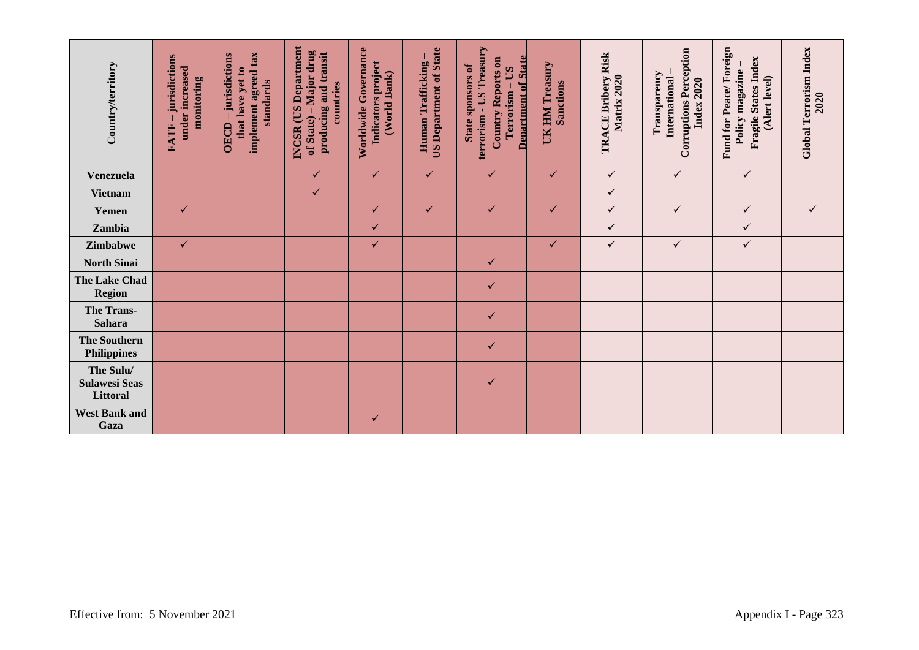| Country/territory                             | -jurisdictions<br>under increased<br>monitoring<br><b>FATF</b> | implement agreed tax<br>OECD - jurisdictions<br>that have yet to<br>standards | <b>INCSR</b> (US Department<br>of State) – Major drug<br>producing and transit<br>countries | Worldwide Governance<br>Indicators project<br>(World Bank) | <b>US Department of State</b><br>Human Trafficking | terrorism - US Treasury<br><b>Department of State</b><br>Country Reports on<br>State sponsors of<br>Terrorism - US | UK HM Treasury<br><b>Sanctions</b> | TRACE Bribery Risk<br>Matrix 2020 | <b>Corruptions Perception</b><br>Transparency<br>International<br>Index 2020 | Fund for Peace/Foreign<br><b>Fragile States Index</b><br>Policy magazine-<br>(Alert level) | Global Terrorism Index<br>2020 |
|-----------------------------------------------|----------------------------------------------------------------|-------------------------------------------------------------------------------|---------------------------------------------------------------------------------------------|------------------------------------------------------------|----------------------------------------------------|--------------------------------------------------------------------------------------------------------------------|------------------------------------|-----------------------------------|------------------------------------------------------------------------------|--------------------------------------------------------------------------------------------|--------------------------------|
| Venezuela                                     |                                                                |                                                                               | $\checkmark$                                                                                | $\checkmark$                                               | $\checkmark$                                       | $\checkmark$                                                                                                       | $\checkmark$                       | $\checkmark$                      | $\checkmark$                                                                 | $\checkmark$                                                                               |                                |
| <b>Vietnam</b>                                |                                                                |                                                                               | $\checkmark$                                                                                |                                                            |                                                    |                                                                                                                    |                                    | $\checkmark$                      |                                                                              |                                                                                            |                                |
| Yemen                                         | $\checkmark$                                                   |                                                                               |                                                                                             | $\checkmark$                                               | $\checkmark$                                       | $\checkmark$                                                                                                       | $\checkmark$                       | $\checkmark$                      | $\checkmark$                                                                 | $\checkmark$                                                                               | $\checkmark$                   |
| Zambia                                        |                                                                |                                                                               |                                                                                             | $\checkmark$                                               |                                                    |                                                                                                                    |                                    | $\checkmark$                      |                                                                              | $\checkmark$                                                                               |                                |
| Zimbabwe                                      | $\checkmark$                                                   |                                                                               |                                                                                             | ✓                                                          |                                                    |                                                                                                                    | $\checkmark$                       | $\checkmark$                      | $\checkmark$                                                                 | $\checkmark$                                                                               |                                |
| <b>North Sinai</b>                            |                                                                |                                                                               |                                                                                             |                                                            |                                                    | $\checkmark$                                                                                                       |                                    |                                   |                                                                              |                                                                                            |                                |
| The Lake Chad<br><b>Region</b>                |                                                                |                                                                               |                                                                                             |                                                            |                                                    | ✓                                                                                                                  |                                    |                                   |                                                                              |                                                                                            |                                |
| <b>The Trans-</b><br>Sahara                   |                                                                |                                                                               |                                                                                             |                                                            |                                                    | $\checkmark$                                                                                                       |                                    |                                   |                                                                              |                                                                                            |                                |
| <b>The Southern</b><br><b>Philippines</b>     |                                                                |                                                                               |                                                                                             |                                                            |                                                    | $\checkmark$                                                                                                       |                                    |                                   |                                                                              |                                                                                            |                                |
| The Sulu/<br><b>Sulawesi Seas</b><br>Littoral |                                                                |                                                                               |                                                                                             |                                                            |                                                    | ✓                                                                                                                  |                                    |                                   |                                                                              |                                                                                            |                                |
| <b>West Bank and</b><br>Gaza                  |                                                                |                                                                               |                                                                                             | $\checkmark$                                               |                                                    |                                                                                                                    |                                    |                                   |                                                                              |                                                                                            |                                |
| Effective from: 5 November 2021               |                                                                |                                                                               |                                                                                             |                                                            |                                                    |                                                                                                                    |                                    |                                   |                                                                              |                                                                                            | Appendix I - Page 323          |